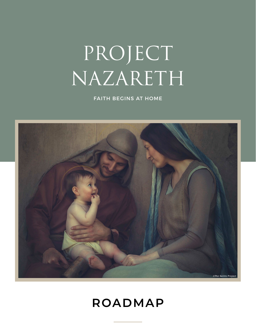# PROJECT NAZARETH

FAITH BEGINS AT HOME



## **ROADMAP**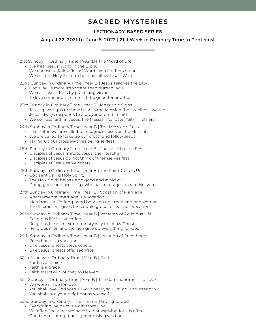### **SACRED MYSTERIES**

#### LECTIONARY-BASED SERIES

#### August 22, 2021 to June 5, 2022 | 21st Week in Ordinary Time to Pentecost

21st Sunday in Ordinary Time | Year B | The Word of Life

- We hear Jesus' Word in the Bible.
- We choose to follow Jesus' Word even if others do not.
- We ask the Holy Spirit to help us follow Jesus' Word.

22nd Sunday in Ordinary Time | Year B | Jesus Teaches the Law

- God's law is more important than human laws.
- We can love others by practicing virtues.
- To love someone is to intend the good for another.

23rd Sunday in Ordinary Time | Year B | Messianic Signs

- Jesus gave signs to show He was the Messiah the Israelites awaited.
- Jesus always responds to a prayer offered in faith.
- We confess faith in Jesus, the Messiah, to foster faith in others.

24th Sunday in Ordinary Time | Year B | The Messiah's Path

- Like Peter, we are called to recognize Jesus as the Messiah.
- We are called to "take up our cross" and follow Jesus.
- Taking up our cross involves being selfless.

25th Sunday in Ordinary Time | Year B | The Last shall be First

- Disciples of Jesus imitate Jesus, their teacher.
- Disciples of Jesus do not think of themselves first.
- Disciples of Jesus serve others.

26th Sunday in Ordinary Time | Year B | The Spirit Guides Us

- God sent us His Holy Spirit.
- The Holy Spirit helps us do good and avoid evil.
- Doing good and avoiding evil is part of our journey to Heaven.

27th Sunday in Ordinary Time | Year B | Vocation of Marriage

- A sacramental marriage is a vocation.
- Marriage is a life-long bond between one man and one woman.
- The Sacrament gives the couple grace to live their vocation.

28th Sunday in Ordinary Time | Year B | Vocation of Religious Life

- Religious life is a vocation.
- Religious life is an extraordinary way to follow Christ.
- Religious men and women give up everything for God.

29th Sunday in Ordinary Time | Year B | Vocation of Priesthood

- Priesthood is a vocation.
- Like Jesus, priests serve others.
- Like Jesus, priests offer sacrifice.

30th Sunday in Ordinary Time | Year B | Faith

- Faith is a choice.
- Faith is a grace.
- Faith starts our journey to Heaven.

31st Sunday in Ordinary Time | Year B | The Commandment to Love

- We were made for love.
- You shall love God with all your heart, soul, mind, and strength.
- You shall love your neighbor as yourself.

32nd Sunday in Ordinary Time | Year B | Giving to God

- Everything we have is a gift from God.
- We offer God what we have in thanksgiving for His gifts.
- God blesses our gift and generously gives back.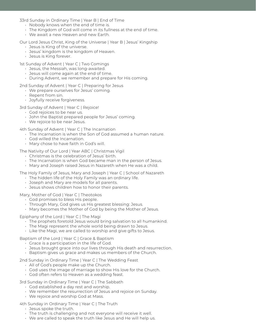33rd Sunday in Ordinary Time | Year B | End of Time

- Nobody knows when the end of time is.
- The Kingdom of God will come in its fullness at the end of time.
- We await a new Heaven and new Earth.

Our Lord Jesus Christ, King of the Universe | Year B | Jesus' Kingship

- Jesus is King of the universe.
- Jesus' kingdom is the kingdom of Heaven.
- Jesus is King forever.

1st Sunday of Advent | Year C | Two Comings

- Jesus, the Messiah, was long-awaited.
- Jesus will come again at the end of time.
- During Advent, we remember and prepare for His coming.

2nd Sunday of Advent | Year C | Preparing for Jesus

- We prepare ourselves for Jesus' coming.
- Repent from sin.
- Joyfully receive forgiveness.

3rd Sunday of Advent | Year C | Rejoice!

- God rejoices to be near us.
- John the Baptist prepared people for Jesus' coming.
- We rejoice to be near Jesus.

4th Sunday of Advent | Year C | The Incarnation

- The Incarnation is when the Son of God assumed a human nature.
- God willed the Incarnation.
- Mary chose to have faith in God's will.

The Nativity of Our Lord | Year ABC | Christmas Vigil

- Christmas is the celebration of Jesus' birth.
- The Incarnation is when God became man in the person of Jesus.
- Mary and Joseph raised Jesus in Nazareth when He was a child.

The Holy Family of Jesus, Mary and Joseph | Year C | School of Nazareth

- The hidden life of the Holy Family was an ordinary life.
- Joseph and Mary are models for all parents.
- Jesus shows children how to honor their parents.

Mary, Mother of God | Year C | Theotokos

- God promises to bless His people.
- Through Mary, God gives us His greatest blessing: Jesus.
- Mary becomes the Mother of God by being the Mother of Jesus.

Epiphany of the Lord | Year C | The Magi

- The prophets foretold Jesus would bring salvation to all humankind.
- The Magi represent the whole world being drawn to Jesus.
- Like the Magi, we are called to worship and give gifts to Jesus.

Baptism of the Lord | Year C | Grace & Baptism

- Grace is a participation in the life of God.
- Jesus brought grace into our lives through His death and resurrection.
- Baptism gives us grace and makes us members of the Church.

2nd Sunday in Ordinary Time | Year C | The Wedding Feast

- All of God's people make up the Church.
- God uses the image of marriage to show His love for the Church.
- God often refers to Heaven as a wedding feast.

3rd Sunday in Ordinary Time | Year C | The Sabbath

- God established a day rest and worship.
- We remember the resurrection of Jesus and rejoice on Sunday.
- We rejoice and worship God at Mass.

4th Sunday in Ordinary Time | Year C | The Truth

- Jesus spoke the truth.
- The truth is challenging and not everyone will receive it well.
- We are called to speak the truth like Jesus and He will help us.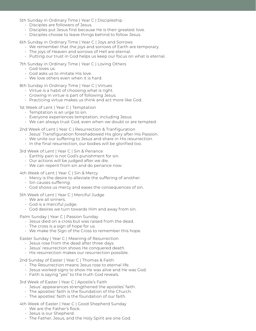5th Sunday in Ordinary Time | Year C | Discipleship

- Disciples are followers of Jesus.
- Disciples put Jesus first because He is their greatest love.
- Disciples choose to leave things behind to follow Jesus.

6th Sunday in Ordinary Time | Year C | Joys and Sorrows

- We remember that the joys and sorrows of Earth are temporary.
- The joys of Heaven and sorrows of Hell are eternal.
- Putting our trust in God helps us keep our focus on what is eternal.

7th Sunday in Ordinary Time | Year C | Loving Others

- God loves us.
- God asks us to imitate His love.
- We love others even when it is hard.

8th Sunday in Ordinary Time | Year C | Virtues

- Virtue is a habit of choosing what is right.
- Growing in virtue is part of following Jesus.
- Practicing virtue makes us think and act more like God.

1st Week of Lent | Year C | Temptation

- Temptation is an urge to sin.
- Everyone experiences temptation, including Jesus.
- We can always trust God, even when we doubt or are tempted.

2nd Week of Lent | Year C | Resurrection & Tranfiguration

- Jesus' Transfiguration foreshadowed His glory after His Passion.
- We unite our suffering to Jesus and share in His resurrection.
- In the final resurrection, our bodies will be glorified too.

3rd Week of Lent | Year C | Sin & Penance

- Earthly pain is not God's punishment for sin.
- Our actions will be judged after we die.
- We can repent from sin and do penance now.

4th Week of Lent | Year C | Sin & Mercy

- Mercy is the desire to alleviate the suffering of another.
- Sin causes suffering.
- God shows us mercy and eases the consequences of sin.

5th Week of Lent | Year C | Merciful Judge

- We are all sinners.
- God is a merciful judge.
- God desires we turn towards Him and away from sin.

Palm Sunday | Year C | Passion Sunday

- Jesus died on a cross but was raised from the dead.
- The cross is a sign of hope for us.
- We make the Sign of the Cross to remember this hope.

Easter Sunday | Year C | Meaning of Resurrection

- Jesus rose from the dead after three days.
- Jesus' resurrection shows He conquered death.
- His resurrection makes our resurrection possible.

2nd Sunday of Easter | Year C | Thomas & Faith

- The Resurrection means Jesus rose to eternal life.
- Jesus worked signs to show He was alive and He was God.
- Faith is saying "yes" to the truth God reveals.

3rd Week of Easter | Year C | Apostle's Faith

- Jesus' appearances strengthened the apostles' faith.
- The apostles' faith is the foundation of the Church.
- The apostles' faith is the foundation of our faith.

4th Week of Easter | Year C | Good Shepherd Sunday

- We are the Father's flock.
- Jesus is our Shepherd.
- The Father, Jesus, and the Holy Spirit are one God.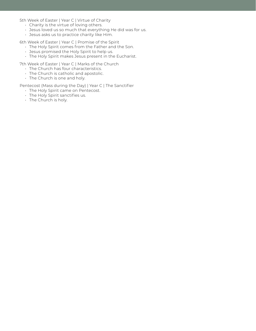5th Week of Easter | Year C | Virtue of Charity

- Charity is the virtue of loving others.
- Jesus loved us so much that everything He did was for us.
- Jesus asks us to practice charity like Him.

6th Week of Easter | Year C | Promise of the Spirit

- The Holy Spirit comes from the Father and the Son.
- Jesus promised the Holy Spirit to help us.
- The Holy Spirit makes Jesus present in the Eucharist.

7th Week of Easter | Year C | Marks of the Church

- The Church has four characteristics.
- The Church is catholic and apostolic.
- The Church is one and holy.

Pentecost (Mass during the Day) | Year C | The Sanctifier

- The Holy Spirit came on Pentecost.
- The Holy Spirit sanctifies us.
- The Church is holy.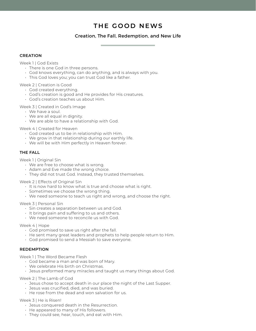## **THE GOOD NEWS**

#### Creation, The Fall, Redemption, and New Life

#### **CREATION**

Week 1 | God Exists

- There is one God in three persons.
- God knows everything, can do anything, and is always with you.
- This God loves you; you can trust God like a father.

Week 2 | Creation is Good

- God created everything.
- God's creation is good and He provides for His creatures.
- God's creation teaches us about Him.

Week 3 | Created in God's Image

- We have a soul.
- We are all equal in dignity.
- We are able to have a relationship with God.

Week 4 | Created for Heaven

- God created us to be in relationship with Him.
- We grow in that relationship during our earthly life.
- We will be with Him perfectly in Heaven forever.

#### **THE FALL**

Week 1 | Original Sin

- We are free to choose what is wrong.
- Adam and Eve made the wrong choice.
- They did not trust God. Instead, they trusted themselves.

Week 2 | Effects of Original Sin

- It is now hard to know what is true and choose what is right.
- Sometimes we choose the wrong thing.
- We need someone to teach us right and wrong, and choose the right.

#### Week 3 | Personal Sin

- Sin creates a separation between us and God.
- It brings pain and suffering to us and others.
- We need someone to reconcile us with God.

#### Week 4 | Hope

- God promised to save us right after the fall.
- He sent many great leaders and prophets to help people return to Him.
- God promised to send a Messiah to save everyone.

#### **REDEMPTION**

Week 1 | The Word Became Flesh

- God became a man and was born of Mary.
- We celebrate His birth on Christmas.
- Jesus preformed many miracles and taught us many things about God.

Week 2 | The Lamb of God

- Jesus chose to accept death in our place the night of the Last Supper.
- Jesus was crucified, died, and was buried.
- He rose from the dead and won salvation for us.

Week 3 | He is Risen!

- Jesus conquered death in the Resurrection.
- He appeared to many of His followers.
- They could see, hear, touch, and eat with Him.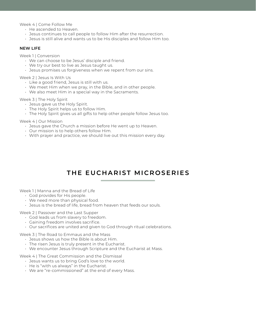Week 4 | Come Follow Me

- He ascended to Heaven.
- Jesus continues to call people to follow Him after the resurrection.
- Jesus is still alive and wants us to be His disciples and follow Him too.

#### **NEW LIFE**

Week 1 | Conversion

- We can choose to be Jesus' disciple and friend.
- We try our best to live as Jesus taught us.
- Jesus promises us forgiveness when we repent from our sins.

Week 2 | Jesus Is With Us

- Like a good friend, Jesus is still with us.
- We meet Him when we pray, in the Bible, and in other people.
- We also meet Him in a special way in the Sacraments.

Week 3 | The Holy Spirit

- Jesus gave us the Holy Spirit.
- The Holy Spirit helps us to follow Him.
- The Holy Spirit gives us all gifts to help other people follow Jesus too.

Week 4 | Our Mission

- Jesus gave the Church a mission before He went up to Heaven.
- Our mission is to help others follow Him.
- With prayer and practice, we should live out this mission every day.

## **THE EUCHARIST MICROSERIES**

Week 1 | Manna and the Bread of Life

- God provides for His people.
- We need more than physical food.
- Jesus is the bread of life, bread from heaven that feeds our souls.

Week 2 | Passover and the Last Supper

- God leads us from slavery to freedom.
- Gaining freedom involves sacrifice.
- Our sacrifices are united and given to God through ritual celebrations.

Week 3 | The Road to Emmaus and the Mass

- Jesus shows us how the Bible is about Him.
- The risen Jesus is truly present in the Eucharist.
- We encounter Jesus through Scripture and the Eucharist at Mass.

Week 4 | The Great Commission and the Dismissal

- Jesus wants us to bring God's love to the world.
- He is "with us always" in the Eucharist.
- We are "re-commissioned" at the end of every Mass.